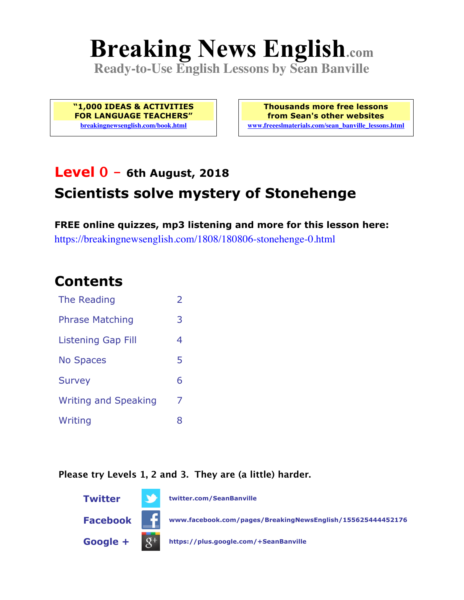# **Breaking News English.com**

**Ready-to-Use English Lessons by Sean Banville**

**"1,000 IDEAS & ACTIVITIES FOR LANGUAGE TEACHERS" breakingnewsenglish.com/book.html**

**Thousands more free lessons from Sean's other websites www.freeeslmaterials.com/sean\_banville\_lessons.html**

### **Level 0 - 6th August, 2018**

### **Scientists solve mystery of Stonehenge**

**FREE online quizzes, mp3 listening and more for this lesson here:** https://breakingnewsenglish.com/1808/180806-stonehenge-0.html

### **Contents**

| The Reading                 | $\overline{\phantom{a}}$ |
|-----------------------------|--------------------------|
| <b>Phrase Matching</b>      | 3                        |
| Listening Gap Fill          | 4                        |
| <b>No Spaces</b>            | 5                        |
| <b>Survey</b>               | 6                        |
| <b>Writing and Speaking</b> | 7                        |
| Writing                     | 8                        |

#### **Please try Levels 1, 2 and 3. They are (a little) harder.**

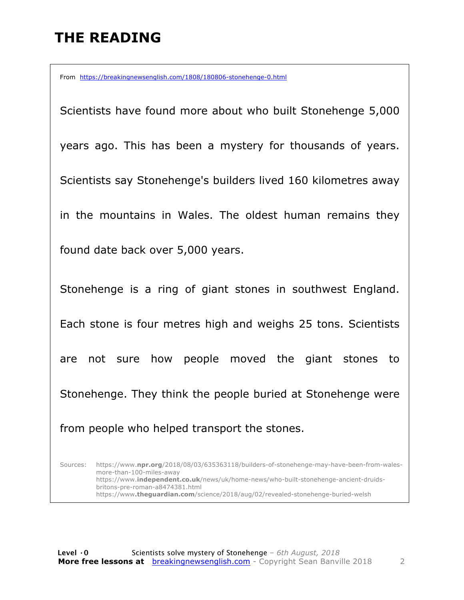# **THE READING**

From https://breakingnewsenglish.com/1808/180806-stonehenge-0.html

Scientists have found more about who built Stonehenge 5,000 years ago. This has been a mystery for thousands of years. Scientists say Stonehenge's builders lived 160 kilometres away in the mountains in Wales. The oldest human remains they found date back over 5,000 years. Stonehenge is a ring of giant stones in southwest England. Each stone is four metres high and weighs 25 tons. Scientists are not sure how people moved the giant stones to Stonehenge. They think the people buried at Stonehenge were from people who helped transport the stones.

Sources: https://www.**npr.org**/2018/08/03/635363118/builders-of-stonehenge-may-have-been-from-walesmore-than-100-miles-away https://www.**independent.co.uk**/news/uk/home-news/who-built-stonehenge-ancient-druidsbritons-pre-roman-a8474381.html https://www**.theguardian.com**/science/2018/aug/02/revealed-stonehenge-buried-welsh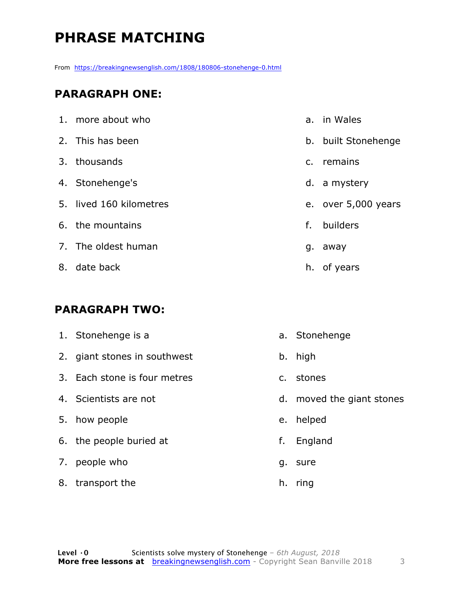# **PHRASE MATCHING**

From https://breakingnewsenglish.com/1808/180806-stonehenge-0.html

#### **PARAGRAPH ONE:**

| 1. more about who       | a.             | in Wales            |
|-------------------------|----------------|---------------------|
| 2. This has been        |                | b. built Stonehenge |
| 3. thousands            | $\mathsf{C}$ . | remains             |
| 4. Stonehenge's         |                | d. a mystery        |
| 5. lived 160 kilometres |                | e. over 5,000 years |
| 6. the mountains        | f.             | builders            |
| 7. The oldest human     | g.             | away                |
| 8. date back            |                | h. of years         |

#### **PARAGRAPH TWO:**

| 1. Stonehenge is a           |               | a. Stonehenge             |
|------------------------------|---------------|---------------------------|
| 2. giant stones in southwest |               | b. high                   |
| 3. Each stone is four metres | $C_{\bullet}$ | stones                    |
| 4. Scientists are not        |               | d. moved the giant stones |
| 5. how people                | e.            | helped                    |
| 6. the people buried at      | f.            | England                   |
| 7. people who                | g.            | sure                      |
| 8. transport the             | h.            | ring                      |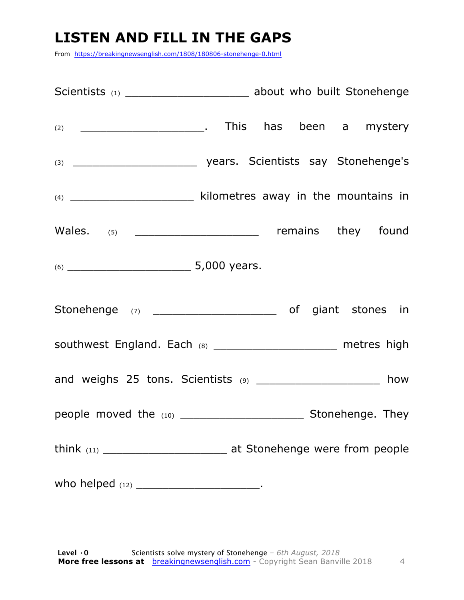## **LISTEN AND FILL IN THE GAPS**

From https://breakingnewsenglish.com/1808/180806-stonehenge-0.html

| Scientists (1) ___________________________ about who built Stonehenge |  |  |  |
|-----------------------------------------------------------------------|--|--|--|
|                                                                       |  |  |  |
|                                                                       |  |  |  |
| (4) ________________________ kilometres away in the mountains in      |  |  |  |
| Wales. (5) ________________________________ remains they found        |  |  |  |
|                                                                       |  |  |  |
|                                                                       |  |  |  |
| southwest England. Each (8) _______________________ metres high       |  |  |  |
| and weighs 25 tons. Scientists (9) ____________________ how           |  |  |  |
|                                                                       |  |  |  |
|                                                                       |  |  |  |
|                                                                       |  |  |  |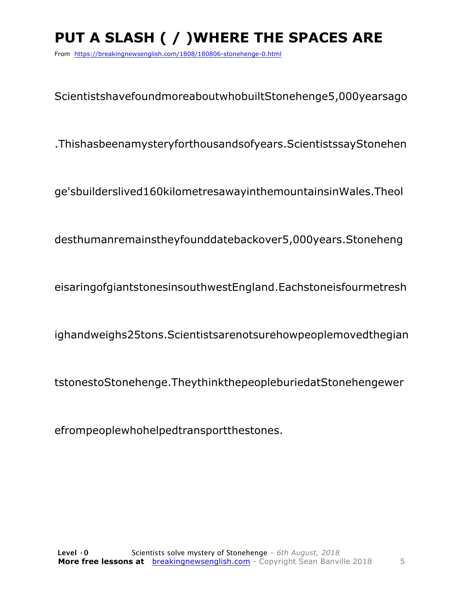# **PUT A SLASH ( / )WHERE THE SPACES ARE**

From https://breakingnewsenglish.com/1808/180806-stonehenge-0.html

ScientistshavefoundmoreaboutwhobuiltStonehenge5,000yearsago

.Thishasbeenamysteryforthousandsofyears.ScientistssayStonehen

ge'sbuilderslived160kilometresawayinthemountainsinWales.Theol

desthumanremainstheyfounddatebackover5,000years.Stoneheng

eisaringofgiantstonesinsouthwestEngland.Eachstoneisfourmetresh

ighandweighs25tons.Scientistsarenotsurehowpeoplemovedthegian

tstonestoStonehenge.TheythinkthepeopleburiedatStonehengewer

efrompeoplewhohelpedtransportthestones.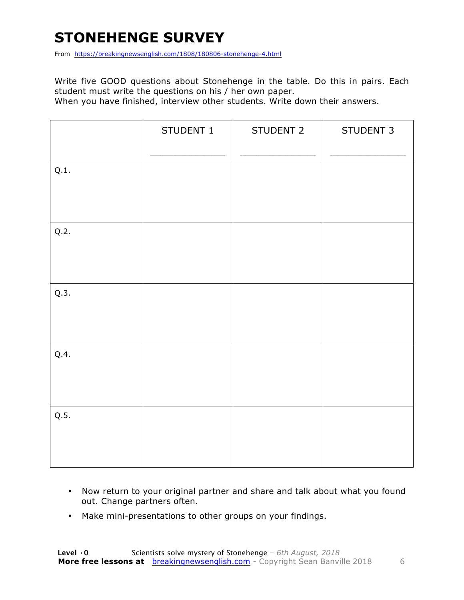# **STONEHENGE SURVEY**

From https://breakingnewsenglish.com/1808/180806-stonehenge-4.html

Write five GOOD questions about Stonehenge in the table. Do this in pairs. Each student must write the questions on his / her own paper.

When you have finished, interview other students. Write down their answers.

|      | STUDENT 1 | STUDENT 2 | STUDENT 3 |
|------|-----------|-----------|-----------|
| Q.1. |           |           |           |
| Q.2. |           |           |           |
| Q.3. |           |           |           |
| Q.4. |           |           |           |
| Q.5. |           |           |           |

- Now return to your original partner and share and talk about what you found out. Change partners often.
- Make mini-presentations to other groups on your findings.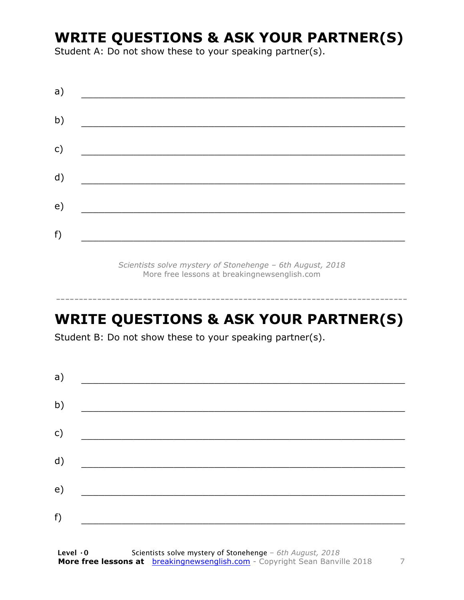### **WRITE QUESTIONS & ASK YOUR PARTNER(S)**

Student A: Do not show these to your speaking partner(s).

| a) |  |
|----|--|
| b) |  |
| c) |  |
| d) |  |
| e) |  |
| f) |  |
|    |  |

*Scientists solve mystery of Stonehenge – 6th August, 2018* More free lessons at breakingnewsenglish.com

### **WRITE QUESTIONS & ASK YOUR PARTNER(S)**

-----------------------------------------------------------------------------

Student B: Do not show these to your speaking partner(s).

| a) |  |  |
|----|--|--|
| b) |  |  |
| c) |  |  |
| d) |  |  |
| e) |  |  |
| f) |  |  |
|    |  |  |